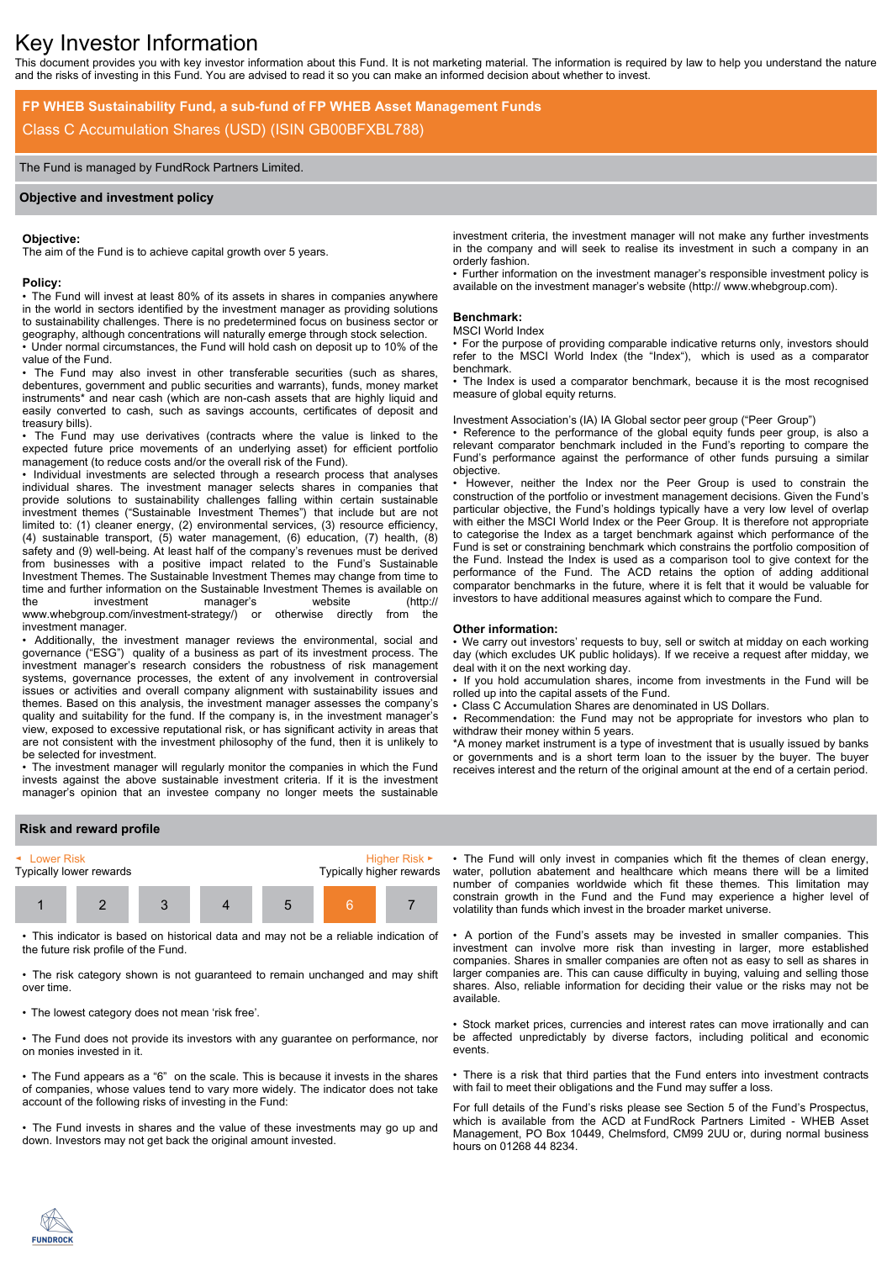# Key Investor Information

This document provides you with key investor information about this Fund. It is not marketing material. The information is required by law to help you understand the nature and the risks of investing in this Fund. You are advised to read it so you can make an informed decision about whether to invest.

# **FP WHEB Sustainability Fund, a sub-fund of FP WHEB Asset Management Funds** Class C Accumulation Shares (USD) (ISIN GB00BFXBL788)

# The Fund is managed by FundRock Partners Limited.

# **Objective and investment policy**

#### **Objective:**

The aim of the Fund is to achieve capital growth over 5 years.

#### **Policy:**

• The Fund will invest at least 80% of its assets in shares in companies anywhere in the world in sectors identified by the investment manager as providing solutions to sustainability challenges. There is no predetermined focus on business sector or geography, although concentrations will naturally emerge through stock selection.

• Under normal circumstances, the Fund will hold cash on deposit up to 10% of the value of the Fund.

The Fund may also invest in other transferable securities (such as shares, debentures, government and public securities and warrants), funds, money market instruments\* and near cash (which are non-cash assets that are highly liquid and easily converted to cash, such as savings accounts, certificates of deposit and treasury bills).

• The Fund may use derivatives (contracts where the value is linked to the expected future price movements of an underlying asset) for efficient portfolio management (to reduce costs and/or the overall risk of the Fund).

• Individual investments are selected through a research process that analyses individual shares. The investment manager selects shares in companies that provide solutions to sustainability challenges falling within certain sustainable investment themes ("Sustainable Investment Themes") that include but are not limited to: (1) cleaner energy, (2) environmental services, (3) resource efficiency, (4) sustainable transport, (5) water management, (6) education, (7) health, (8) safety and (9) well-being. At least half of the company's revenues must be derived from businesses with a positive impact related to the Fund's Sustainable Investment Themes. The Sustainable Investment Themes may change from time to time and further information on the Sustainable Investment Themes is available on the investment manager's website (http:// www.whebgroup.com/investment-strategy/) or otherwise directly from the investment manager.

• Additionally, the investment manager reviews the environmental, social and governance ("ESG") quality of a business as part of its investment process. The investment manager's research considers the robustness of risk management systems, governance processes, the extent of any involvement in controversial issues or activities and overall company alignment with sustainability issues and themes. Based on this analysis, the investment manager assesses the company's quality and suitability for the fund. If the company is, in the investment manager's view, exposed to excessive reputational risk, or has significant activity in areas that are not consistent with the investment philosophy of the fund, then it is unlikely to be selected for investment.

• The investment manager will regularly monitor the companies in which the Fund invests against the above sustainable investment criteria. If it is the investment manager's opinion that an investee company no longer meets the sustainable

investment criteria, the investment manager will not make any further investments in the company and will seek to realise its investment in such a company in an orderly fashion.

• Further information on the investment manager's responsible investment policy is available on the investment manager's website (http:// www.whebgroup.com).

#### **Benchmark:**

# MSCI World Index

• For the purpose of providing comparable indicative returns only, investors should refer to the MSCI World Index (the "Index"), which is used as a comparator benchmark.

• The Index is used a comparator benchmark, because it is the most recognised measure of global equity returns.

Investment Association's (IA) IA Global sector peer group ("Peer Group")

• Reference to the performance of the global equity funds peer group, is also a relevant comparator benchmark included in the Fund's reporting to compare the Fund's performance against the performance of other funds pursuing a similar objective.

• However, neither the Index nor the Peer Group is used to constrain the construction of the portfolio or investment management decisions. Given the Fund's particular objective, the Fund's holdings typically have a very low level of overlap with either the MSCI World Index or the Peer Group. It is therefore not appropriate to categorise the Index as a target benchmark against which performance of the Fund is set or constraining benchmark which constrains the portfolio composition of the Fund. Instead the Index is used as a comparison tool to give context for the performance of the Fund. The ACD retains the option of adding additional comparator benchmarks in the future, where it is felt that it would be valuable for investors to have additional measures against which to compare the Fund.

#### **Other information:**

• We carry out investors' requests to buy, sell or switch at midday on each working day (which excludes UK public holidays). If we receive a request after midday, we deal with it on the next working day.

• If you hold accumulation shares, income from investments in the Fund will be rolled up into the capital assets of the Fund.

• Class C Accumulation Shares are denominated in US Dollars.

• Recommendation: the Fund may not be appropriate for investors who plan to withdraw their money within 5 years.

\*A money market instrument is a type of investment that is usually issued by banks or governments and is a short term loan to the issuer by the buyer. The buyer receives interest and the return of the original amount at the end of a certain period.

# **Risk and reward profile**



• This indicator is based on historical data and may not be a reliable indication of the future risk profile of the Fund.

• The risk category shown is not guaranteed to remain unchanged and may shift over time.

• The lowest category does not mean 'risk free'.

• The Fund does not provide its investors with any guarantee on performance, nor on monies invested in it.

• The Fund appears as a "6" on the scale. This is because it invests in the shares of companies, whose values tend to vary more widely. The indicator does not take account of the following risks of investing in the Fund:

• The Fund invests in shares and the value of these investments may go up and down. Investors may not get back the original amount invested.

• The Fund will only invest in companies which fit the themes of clean energy, water, pollution abatement and healthcare which means there will be a limited number of companies worldwide which fit these themes. This limitation may constrain growth in the Fund and the Fund may experience a higher level of volatility than funds which invest in the broader market universe.

• A portion of the Fund's assets may be invested in smaller companies. This investment can involve more risk than investing in larger, more established companies. Shares in smaller companies are often not as easy to sell as shares in larger companies are. This can cause difficulty in buying, valuing and selling those shares. Also, reliable information for deciding their value or the risks may not be available.

• Stock market prices, currencies and interest rates can move irrationally and can be affected unpredictably by diverse factors, including political and economic events.

• There is a risk that third parties that the Fund enters into investment contracts with fail to meet their obligations and the Fund may suffer a loss.

For full details of the Fund's risks please see Section 5 of the Fund's Prospectus, which is available from the ACD at FundRock Partners Limited - WHEB Asset Management, PO Box 10449, Chelmsford, CM99 2UU or, during normal business hours on 01268 44 8234.